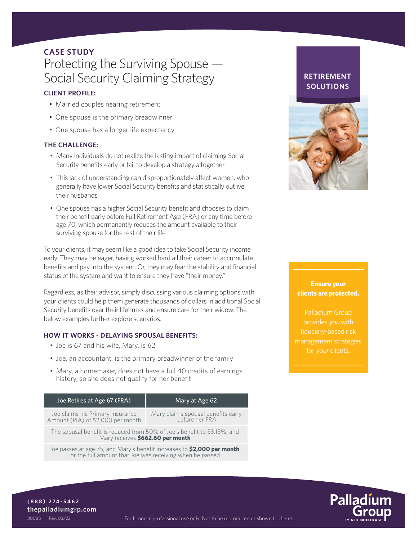# **CASE STUDY** Protecting the Surviving Spouse — Social Security Claiming Strategy

# **CLIENT PROFILE:**

- Married couples nearing retirement
- One spouse is the primary breadwinner
- One spouse has a longer life expectancy

#### **THE CHALLENGE:**

- Many individuals do not realize the lasting impact of claiming Social Security benefits early or fail to develop a strategy altogether
- This lack of understanding can disproportionately affect women, who generally have lower Social Security benefits and statistically outlive their husbands
- One spouse has a higher Social Security benefit and chooses to claim their benefit early before Full Retirement Age (FRA) or any time before age 70, which permanently reduces the amount available to their surviving spouse for the rest of their life

To your clients, it may seem like a good idea to take Social Security income early. They may be eager, having worked hard all their career to accumulate benefits and pay into the system. Or, they may fear the stability and financial status of the system and want to ensure they have "their money."

Regardless, as their advisor, simply discussing various claiming options with your clients could help them generate thousands of dollars in additional Social Security benefits over their lifetimes and ensure care for their widow. The below examples further explore scenarios.

#### **HOW IT WORKS - DELAYING SPOUSAL BENEFITS:**

- Joe is 67 and his wife, Mary, is 62
- Joe, an accountant, is the primary breadwinner of the family
- Mary, a homemaker, does not have a full 40 credits of earnings history, so she does not qualify for her benefit

| Joe Retires at Age 67 (FRA)                                           | Mary at Age 62                                        |
|-----------------------------------------------------------------------|-------------------------------------------------------|
| Joe claims his Primary Insurance<br>Amount (PIA) of \$2,000 per month | Mary claims spousal benefits early,<br>before her FRA |

The spousal benefit is reduced from 50% of Joe's benefit to 33.13%, and Mary receives **\$662.60 per month** 

Joe passes at age 75, and Mary's benefit increases to **\$2,000 per month**, or the full amount that Joe was receiving when he passed

# **RETIREMENT SOLUTIONS**



## **Ensure your clients are protected.**

Palladium Group provides you with fiduciary-based risk management strategies



**(888) 274-5462 thepalladiumgrp.com**